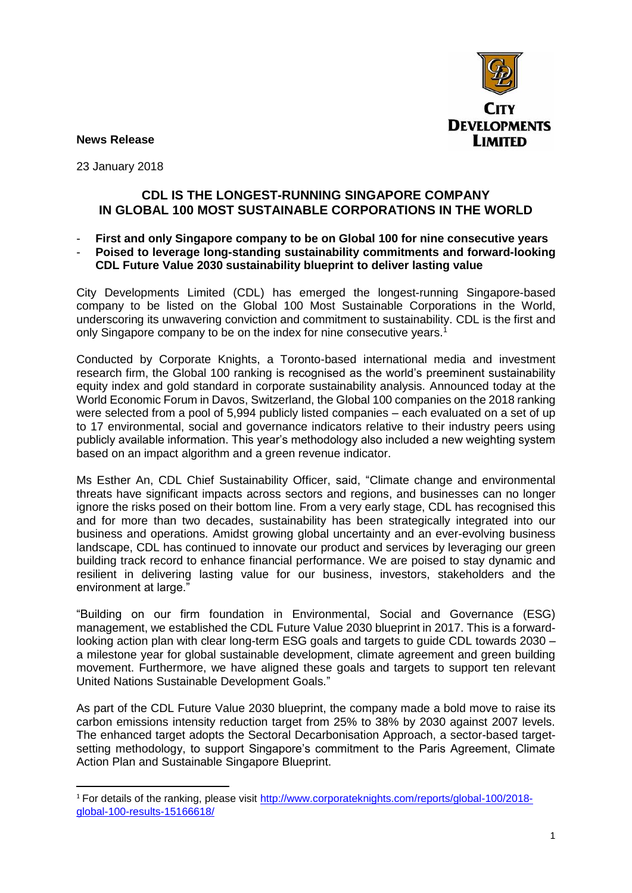

**News Release**

23 January 2018

**.** 

## **CDL IS THE LONGEST-RUNNING SINGAPORE COMPANY IN GLOBAL 100 MOST SUSTAINABLE CORPORATIONS IN THE WORLD**

- **First and only Singapore company to be on Global 100 for nine consecutive years**
- **Poised to leverage long-standing sustainability commitments and forward-looking CDL Future Value 2030 sustainability blueprint to deliver lasting value**

City Developments Limited (CDL) has emerged the longest-running Singapore-based company to be listed on the Global 100 Most Sustainable Corporations in the World, underscoring its unwavering conviction and commitment to sustainability. CDL is the first and only Singapore company to be on the index for nine consecutive years.<sup>1</sup>

Conducted by Corporate Knights, a Toronto-based international media and investment research firm, the Global 100 ranking is recognised as the world's preeminent sustainability equity index and gold standard in corporate sustainability analysis. Announced today at the World Economic Forum in Davos, Switzerland, the Global 100 companies on the 2018 ranking were selected from a pool of 5,994 publicly listed companies – each evaluated on a set of up to 17 environmental, social and governance indicators relative to their industry peers using publicly available information. This year's methodology also included a new weighting system based on an impact algorithm and a green revenue indicator.

Ms Esther An, CDL Chief Sustainability Officer, said, "Climate change and environmental threats have significant impacts across sectors and regions, and businesses can no longer ignore the risks posed on their bottom line. From a very early stage, CDL has recognised this and for more than two decades, sustainability has been strategically integrated into our business and operations. Amidst growing global uncertainty and an ever-evolving business landscape, CDL has continued to innovate our product and services by leveraging our green building track record to enhance financial performance. We are poised to stay dynamic and resilient in delivering lasting value for our business, investors, stakeholders and the environment at large."

"Building on our firm foundation in Environmental, Social and Governance (ESG) management, we established the CDL Future Value 2030 blueprint in 2017. This is a forwardlooking action plan with clear long-term ESG goals and targets to guide CDL towards 2030 – a milestone year for global sustainable development, climate agreement and green building movement. Furthermore, we have aligned these goals and targets to support ten relevant United Nations Sustainable Development Goals."

As part of the CDL Future Value 2030 blueprint, the company made a bold move to raise its carbon emissions intensity reduction target from 25% to 38% by 2030 against 2007 levels. The enhanced target adopts the Sectoral Decarbonisation Approach, a sector-based targetsetting methodology, to support Singapore's commitment to the Paris Agreement, Climate Action Plan and Sustainable Singapore Blueprint.

<sup>1</sup> For details of the ranking, please visit [http://www.corporateknights.com/reports/global-100/2018](http://www.corporateknights.com/reports/global-100/2018-global-100-results-15166618/) [global-100-results-15166618/](http://www.corporateknights.com/reports/global-100/2018-global-100-results-15166618/)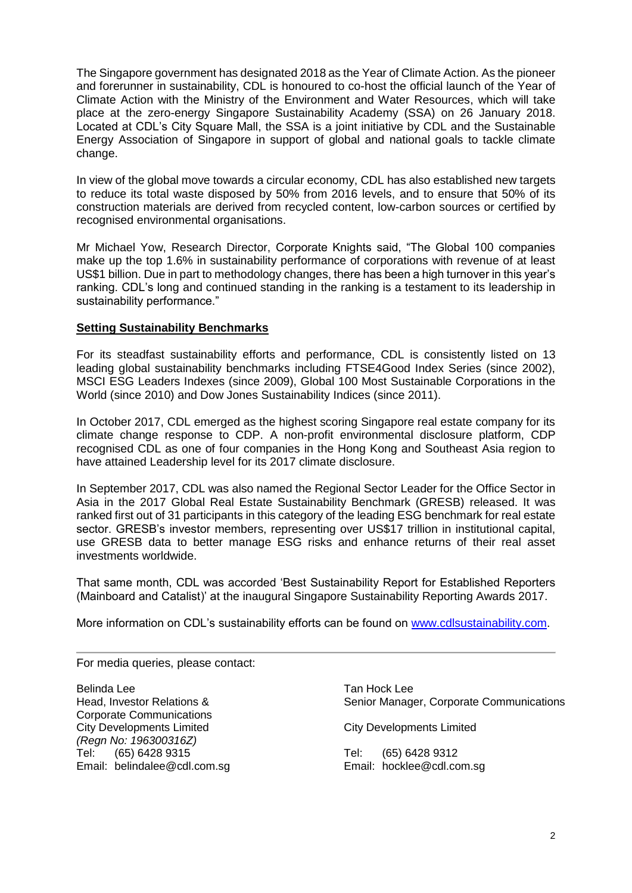The Singapore government has designated 2018 as the Year of Climate Action. As the pioneer and forerunner in sustainability, CDL is honoured to co-host the official launch of the Year of Climate Action with the Ministry of the Environment and Water Resources, which will take place at the zero-energy Singapore Sustainability Academy (SSA) on 26 January 2018. Located at CDL's City Square Mall, the SSA is a joint initiative by CDL and the Sustainable Energy Association of Singapore in support of global and national goals to tackle climate change.

In view of the global move towards a circular economy, CDL has also established new targets to reduce its total waste disposed by 50% from 2016 levels, and to ensure that 50% of its construction materials are derived from recycled content, low-carbon sources or certified by recognised environmental organisations.

Mr Michael Yow, Research Director, Corporate Knights said, "The Global 100 companies make up the top 1.6% in sustainability performance of corporations with revenue of at least US\$1 billion. Due in part to methodology changes, there has been a high turnover in this year's ranking. CDL's long and continued standing in the ranking is a testament to its leadership in sustainability performance."

## **Setting Sustainability Benchmarks**

For its steadfast sustainability efforts and performance, CDL is consistently listed on 13 leading global sustainability benchmarks including FTSE4Good Index Series (since 2002), MSCI ESG Leaders Indexes (since 2009), Global 100 Most Sustainable Corporations in the World (since 2010) and Dow Jones Sustainability Indices (since 2011).

In October 2017, CDL emerged as the highest scoring Singapore real estate company for its climate change response to CDP. A non-profit environmental disclosure platform, CDP recognised CDL as one of four companies in the Hong Kong and Southeast Asia region to have attained Leadership level for its 2017 climate disclosure.

In September 2017, CDL was also named the Regional Sector Leader for the Office Sector in Asia in the 2017 Global Real Estate Sustainability Benchmark (GRESB) released. It was ranked first out of 31 participants in this category of the leading ESG benchmark for real estate sector. GRESB's investor members, representing over US\$17 trillion in institutional capital, use GRESB data to better manage ESG risks and enhance returns of their real asset investments worldwide.

That same month, CDL was accorded 'Best Sustainability Report for Established Reporters (Mainboard and Catalist)' at the inaugural Singapore Sustainability Reporting Awards 2017.

More information on CDL's sustainability efforts can be found on [www.cdlsustainability.com.](http://www.cdlsustainability.com/)

For media queries, please contact:

Belinda Lee Tan Hock Lee Corporate Communications City Developments Limited City Developments Limited *(Regn No: 196300316Z)* Tel: (65) 6428 9315 Tel: (65) 6428 9312 Email: belindalee@cdl.com.sg Email: hocklee@cdl.com.sg

Head, Investor Relations & Senior Manager, Corporate Communications